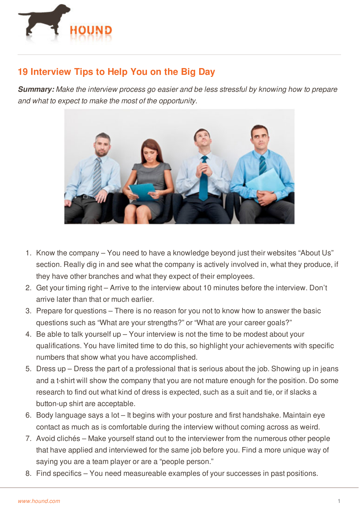

## **19 Interview Tips to Help You on the Big Day**

*Summary: Make the interview process go easier and be less stressful by knowing how to prepare and what to expect to make the most of the opportunity.*



- 1. Know the company You need to have a knowledge beyond just their websites "About Us" section. Really dig in and see what the company is actively involved in, what they produce, if they have other branches and what they expect of their employees.
- 2. Get your timing right Arrive to the interview about 10 minutes before the interview. Don't arrive later than that or much earlier.
- 3. Prepare for questions There is no reason for you not to know how to answer the basic questions such as "What are your strengths?" or "What are your career goals?"
- 4. Be able to talk yourself up Your interview is not the time to be modest about your qualifications. You have limited time to do this, so highlight your achievements with specific numbers that show what you have accomplished.
- 5. Dress up Dress the part of a professional that is serious about the job. Showing up in jeans and a t-shirt will show the company that you are not mature enough for the position. Do some research to find out what kind of dress is expected, such as a suit and tie, or if slacks a button-up shirt are acceptable.
- 6. Body language says a lot It begins with your posture and first handshake. Maintain eye contact as much as is comfortable during the interview without coming across as weird.
- 7. [Avoid](http://www.hound.com/) clichés Make yourself stand out to the interviewer from the numerous other people that have applied and interviewed for the same job before you. Find a more unique way of saying you are a team player or are a "people person."
- 8. Find specifics You need measureable examples of your successes in past positions.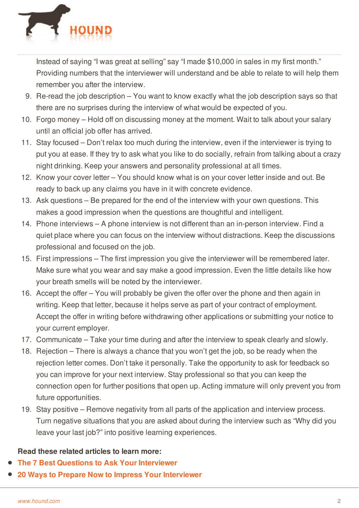

Instead of saying "I was great at selling" say "I made \$10,000 in sales in my first month." Providing numbers that the interviewer will understand and be able to relate to will help them remember you after the interview.

- 9. Re-read the job description You want to know exactly what the job description says so that there are no surprises during the interview of what would be expected of you.
- 10. Forgo money Hold off on discussing money at the moment. Wait to talk about your salary until an official job offer has arrived.
- 11. Stay focused Don't relax too much during the interview, even if the interviewer is trying to put you at ease. If they try to ask what you like to do socially, refrain from talking about a crazy night drinking. Keep your answers and personality professional at all times.
- 12. Know your cover letter You should know what is on your cover letter inside and out. Be ready to back up any claims you have in it with concrete evidence.
- 13. Ask questions Be prepared for the end of the interview with your own questions. This makes a good impression when the questions are thoughtful and intelligent.
- 14. Phone interviews A phone interview is not different than an in-person interview. Find a quiet place where you can focus on the interview without distractions. Keep the discussions professional and focused on the job.
- 15. First impressions The first impression you give the interviewer will be remembered later. Make sure what you wear and say make a good impression. Even the little details like how your breath smells will be noted by the interviewer.
- 16. Accept the offer You will probably be given the offer over the phone and then again in writing. Keep that letter, because it helps serve as part of your contract of employment. Accept the offer in writing before withdrawing other applications or submitting your notice to your current employer.
- 17. Communicate Take your time during and after the interview to speak clearly and slowly.
- 18. Rejection There is always a chance that you won't get the job, so be ready when the rejection letter comes. Don't take it personally. Take the opportunity to ask for feedback so you can improve for your next interview. Stay professional so that you can keep the connection open for further positions that open up. Acting immature will only prevent you from future opportunities.
- 19. Stay positive Remove negativity from all parts of the application and interview process. Turn negative situations that you are asked about during the interview such as "Why did you leave your last job?" into positive learning experiences.

## **Read [these](http://www.hound.com/) related articles to learn more:**

- **The 7 Best Questions to Ask Your [Interviewer](http://www.hound.com/article/900047335/The-7-Best-Questions-to-Ask-Your-Interviewer/)**
- **20 Ways to Prepare Now to Impress Your [Interviewer](http://www.hound.com/article/900047307/20-Ways-to-Prepare-Now-to-Impress-Your-Interviewer/)**